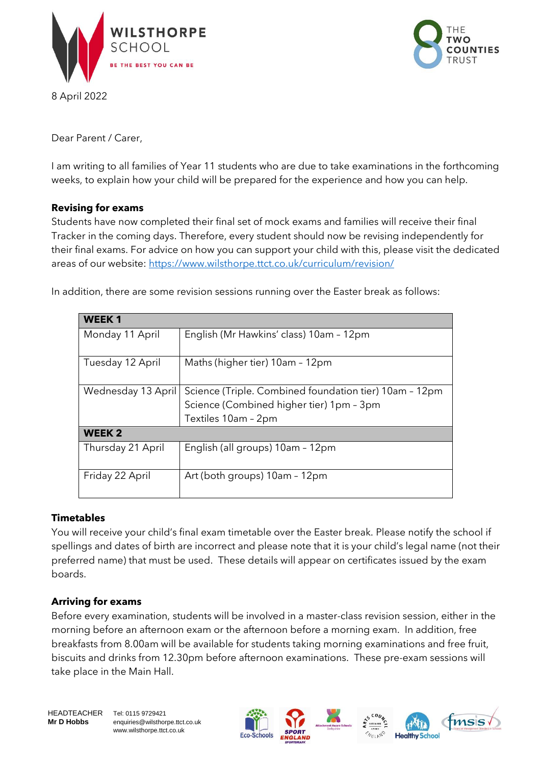

8 April 2022



Dear Parent / Carer,

I am writing to all families of Year 11 students who are due to take examinations in the forthcoming weeks, to explain how your child will be prepared for the experience and how you can help.

### **Revising for exams**

Students have now completed their final set of mock exams and families will receive their final Tracker in the coming days. Therefore, every student should now be revising independently for their final exams. For advice on how you can support your child with this, please visit the dedicated areas of our website: <https://www.wilsthorpe.ttct.co.uk/curriculum/revision/>

In addition, there are some revision sessions running over the Easter break as follows:

| <b>WEEK1</b>       |                                                        |
|--------------------|--------------------------------------------------------|
| Monday 11 April    | English (Mr Hawkins' class) 10am - 12pm                |
|                    |                                                        |
| Tuesday 12 April   | Maths (higher tier) 10am - 12pm                        |
|                    |                                                        |
| Wednesday 13 April | Science (Triple. Combined foundation tier) 10am - 12pm |
|                    | Science (Combined higher tier) 1pm - 3pm               |
|                    | Textiles 10am - 2pm                                    |
| <b>WEEK 2</b>      |                                                        |
| Thursday 21 April  | English (all groups) 10am - 12pm                       |
|                    |                                                        |
| Friday 22 April    | Art (both groups) 10am - 12pm                          |
|                    |                                                        |

### **Timetables**

You will receive your child's final exam timetable over the Easter break. Please notify the school if spellings and dates of birth are incorrect and please note that it is your child's legal name (not their preferred name) that must be used. These details will appear on certificates issued by the exam boards.

#### **Arriving for exams**

Before every examination, students will be involved in a master-class revision session, either in the morning before an afternoon exam or the afternoon before a morning exam. In addition, free breakfasts from 8.00am will be available for students taking morning examinations and free fruit, biscuits and drinks from 12.30pm before afternoon examinations. These pre-exam sessions will take place in the Main Hall.

**Mr D Hobbs** enquiries@wilsthorpe.ttct.co.uk www.wilsthorpe.ttct.co.uk





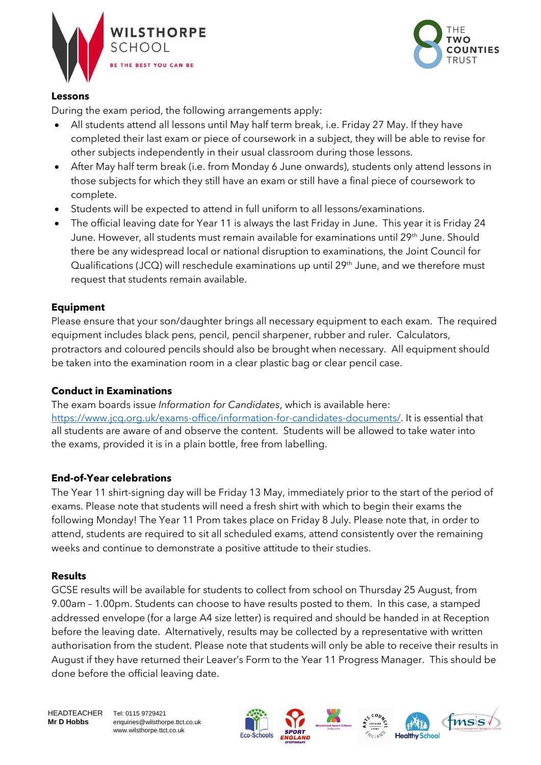



### **Lessons**

During the exam period, the following arrangements apply:

- All students attend all lessons until May half term break, i.e. Friday 27 May. If they have completed their last exam or piece of coursework in a subject, they will be able to revise for other subjects independently in their usual classroom during those lessons.
- After May half term break (i.e. from Monday 6 June onwards), students only attend lessons in those subjects for which they still have an exam or still have a final piece of coursework to complete.
- Students will be expected to attend in full uniform to all lessons/examinations.
- The official leaving date for Year 11 is always the last Friday in June. This year it is Friday 24 June. However, all students must remain available for examinations until 29<sup>th</sup> June. Should there be any widespread local or national disruption to examinations, the Joint Council for Qualifications (JCQ) will reschedule examinations up until 29<sup>th</sup> June, and we therefore must request that students remain available.

## **Equipment**

Please ensure that your son/daughter brings all necessary equipment to each exam. The required equipment includes black pens, pencil, pencil sharpener, rubber and ruler. Calculators, protractors and coloured pencils should also be brought when necessary. All equipment should be taken into the examination room in a clear plastic bag or clear pencil case.

### **Conduct in Examinations**

The exam boards issue *Information for Candidates*, which is available here: [https://www.jcq.org.uk/exams-office/information-for-candidates-documents/.](https://www.jcq.org.uk/exams-office/information-for-candidates-documents/) It is essential that all students are aware of and observe the content. Students will be allowed to take water into the exams, provided it is in a plain bottle, free from labelling.

### **End-of-Year celebrations**

The Year 11 shirt-signing day will be Friday 13 May, immediately prior to the start of the period of exams. Please note that students will need a fresh shirt with which to begin their exams the following Monday! The Year 11 Prom takes place on Friday 8 July. Please note that, in order to attend, students are required to sit all scheduled exams, attend consistently over the remaining weeks and continue to demonstrate a positive attitude to their studies.

### **Results**

GCSE results will be available for students to collect from school on Thursday 25 August, from 9.00am – 1.00pm. Students can choose to have results posted to them. In this case, a stamped addressed envelope (for a large A4 size letter) is required and should be handed in at Reception before the leaving date. Alternatively, results may be collected by a representative with written authorisation from the student. Please note that students will only be able to receive their results in August if they have returned their Leaver's Form to the Year 11 Progress Manager. This should be done before the official leaving date.

HEADTEACHER Tel: 0115 9729421

**Mr D Hobbs** enquiries@wilsthorpe.ttct.co.uk www.wilsthorpe.ttct.co.uk